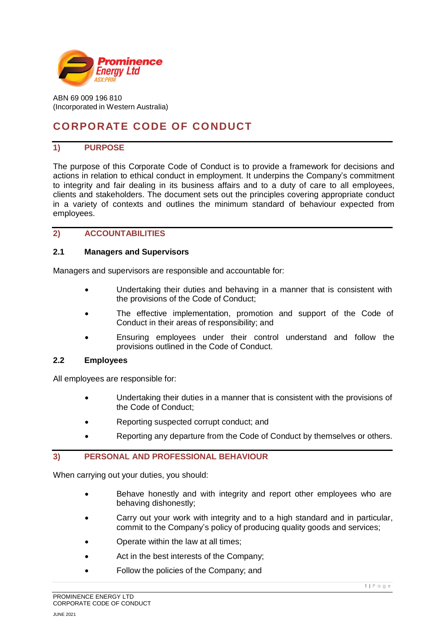

ABN 69 009 196 810 (Incorporated in Western Australia)

# **CORPORATE CODE OF CONDUCT**

## **1) PURPOSE**

The purpose of this Corporate Code of Conduct is to provide a framework for decisions and actions in relation to ethical conduct in employment. It underpins the Company's commitment to integrity and fair dealing in its business affairs and to a duty of care to all employees, clients and stakeholders. The document sets out the principles covering appropriate conduct in a variety of contexts and outlines the minimum standard of behaviour expected from employees.

#### **2) ACCOUNTABILITIES**

#### **2.1 Managers and Supervisors**

Managers and supervisors are responsible and accountable for:

- Undertaking their duties and behaving in a manner that is consistent with the provisions of the Code of Conduct;
- The effective implementation, promotion and support of the Code of Conduct in their areas of responsibility; and
- Ensuring employees under their control understand and follow the provisions outlined in the Code of Conduct.

#### **2.2 Employees**

All employees are responsible for:

- Undertaking their duties in a manner that is consistent with the provisions of the Code of Conduct;
- Reporting suspected corrupt conduct; and
- Reporting any departure from the Code of Conduct by themselves or others.

# **3) PERSONAL AND PROFESSIONAL BEHAVIOUR**

When carrying out your duties, you should:

- Behave honestly and with integrity and report other employees who are behaving dishonestly;
- Carry out your work with integrity and to a high standard and in particular, commit to the Company's policy of producing quality goods and services;
- Operate within the law at all times;
- Act in the best interests of the Company;
- Follow the policies of the Company; and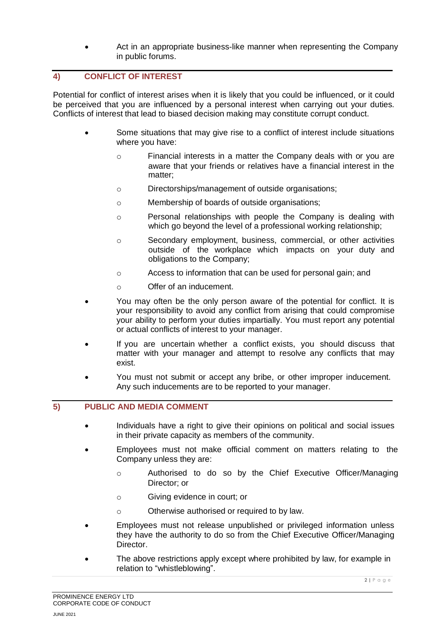• Act in an appropriate business-like manner when representing the Company in public forums.

# **4) CONFLICT OF INTEREST**

Potential for conflict of interest arises when it is likely that you could be influenced, or it could be perceived that you are influenced by a personal interest when carrying out your duties. Conflicts of interest that lead to biased decision making may constitute corrupt conduct.

- Some situations that may give rise to a conflict of interest include situations where you have:
	- o Financial interests in a matter the Company deals with or you are aware that your friends or relatives have a financial interest in the matter;
	- o Directorships/management of outside organisations;
	- o Membership of boards of outside organisations;
	- o Personal relationships with people the Company is dealing with which go beyond the level of a professional working relationship;
	- o Secondary employment, business, commercial, or other activities outside of the workplace which impacts on your duty and obligations to the Company;
	- o Access to information that can be used for personal gain; and
	- o Offer of an inducement.
- You may often be the only person aware of the potential for conflict. It is your responsibility to avoid any conflict from arising that could compromise your ability to perform your duties impartially. You must report any potential or actual conflicts of interest to your manager.
- If you are uncertain whether a conflict exists, you should discuss that matter with your manager and attempt to resolve any conflicts that may exist.
- You must not submit or accept any bribe, or other improper inducement. Any such inducements are to be reported to your manager.

#### **5) PUBLIC AND MEDIA COMMENT**

- Individuals have a right to give their opinions on political and social issues in their private capacity as members of the community.
- Employees must not make official comment on matters relating to the Company unless they are:
	- o Authorised to do so by the Chief Executive Officer/Managing Director; or
	- o Giving evidence in court; or
	- o Otherwise authorised or required to by law.
- Employees must not release unpublished or privileged information unless they have the authority to do so from the Chief Executive Officer/Managing Director.
- The above restrictions apply except where prohibited by law, for example in relation to "whistleblowing".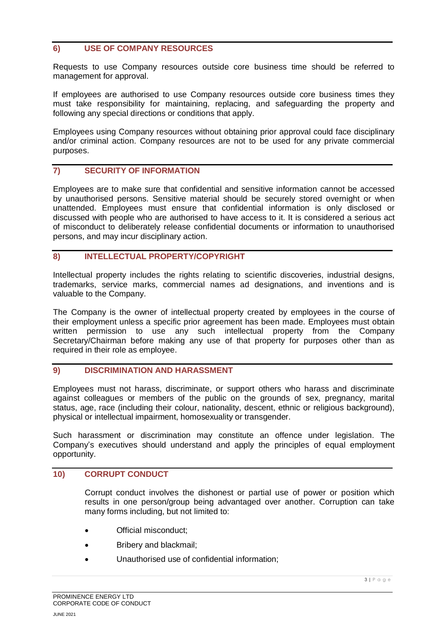### **6) USE OF COMPANY RESOURCES**

Requests to use Company resources outside core business time should be referred to management for approval.

If employees are authorised to use Company resources outside core business times they must take responsibility for maintaining, replacing, and safeguarding the property and following any special directions or conditions that apply.

Employees using Company resources without obtaining prior approval could face disciplinary and/or criminal action. Company resources are not to be used for any private commercial purposes.

#### **7) SECURITY OF INFORMATION**

Employees are to make sure that confidential and sensitive information cannot be accessed by unauthorised persons. Sensitive material should be securely stored overnight or when unattended. Employees must ensure that confidential information is only disclosed or discussed with people who are authorised to have access to it. It is considered a serious act of misconduct to deliberately release confidential documents or information to unauthorised persons, and may incur disciplinary action.

#### **8) INTELLECTUAL PROPERTY/COPYRIGHT**

Intellectual property includes the rights relating to scientific discoveries, industrial designs, trademarks, service marks, commercial names ad designations, and inventions and is valuable to the Company.

The Company is the owner of intellectual property created by employees in the course of their employment unless a specific prior agreement has been made. Employees must obtain written permission to use any such intellectual property from the Company Secretary/Chairman before making any use of that property for purposes other than as required in their role as employee.

#### **9) DISCRIMINATION AND HARASSMENT**

Employees must not harass, discriminate, or support others who harass and discriminate against colleagues or members of the public on the grounds of sex, pregnancy, marital status, age, race (including their colour, nationality, descent, ethnic or religious background), physical or intellectual impairment, homosexuality or transgender.

Such harassment or discrimination may constitute an offence under legislation. The Company's executives should understand and apply the principles of equal employment opportunity.

#### **10) CORRUPT CONDUCT**

Corrupt conduct involves the dishonest or partial use of power or position which results in one person/group being advantaged over another. Corruption can take many forms including, but not limited to:

- Official misconduct;
- Bribery and blackmail;
- Unauthorised use of confidential information;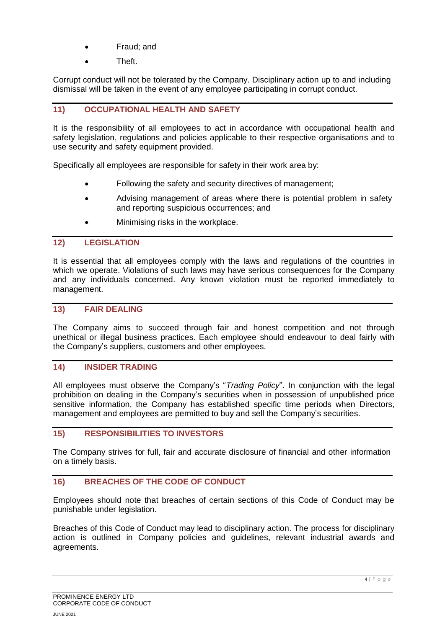- Fraud; and
- Theft.

Corrupt conduct will not be tolerated by the Company. Disciplinary action up to and including dismissal will be taken in the event of any employee participating in corrupt conduct.

### **11) OCCUPATIONAL HEALTH AND SAFETY**

It is the responsibility of all employees to act in accordance with occupational health and safety legislation, regulations and policies applicable to their respective organisations and to use security and safety equipment provided.

Specifically all employees are responsible for safety in their work area by:

- Following the safety and security directives of management;
- Advising management of areas where there is potential problem in safety and reporting suspicious occurrences; and
- Minimising risks in the workplace.

### **12) LEGISLATION**

It is essential that all employees comply with the laws and regulations of the countries in which we operate. Violations of such laws may have serious consequences for the Company and any individuals concerned. Any known violation must be reported immediately to management.

#### **13) FAIR DEALING**

The Company aims to succeed through fair and honest competition and not through unethical or illegal business practices. Each employee should endeavour to deal fairly with the Company's suppliers, customers and other employees.

#### **14) INSIDER TRADING**

All employees must observe the Company's "*Trading Policy*". In conjunction with the legal prohibition on dealing in the Company's securities when in possession of unpublished price sensitive information, the Company has established specific time periods when Directors, management and employees are permitted to buy and sell the Company's securities.

#### **15) RESPONSIBILITIES TO INVESTORS**

The Company strives for full, fair and accurate disclosure of financial and other information on a timely basis.

## **16) BREACHES OF THE CODE OF CONDUCT**

Employees should note that breaches of certain sections of this Code of Conduct may be punishable under legislation.

Breaches of this Code of Conduct may lead to disciplinary action. The process for disciplinary action is outlined in Company policies and guidelines, relevant industrial awards and agreements.